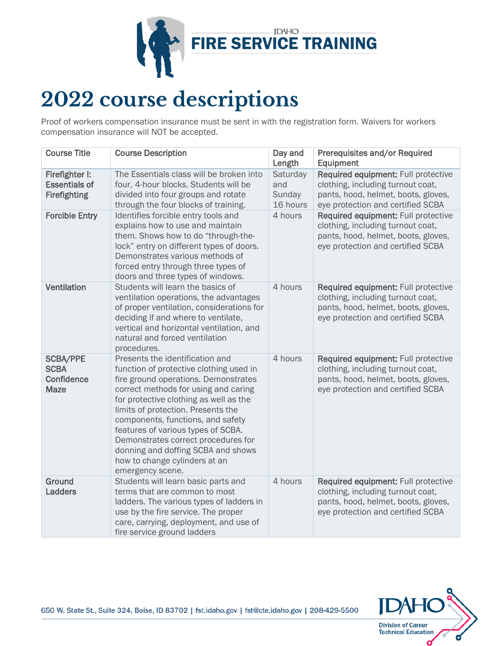

## **2022 course descriptions**

Proof of workers compensation insurance must be sent in with the registration form. Waivers for workers compensation insurance will NOT be accepted.

| <b>Course Title</b>                                           | <b>Course Description</b>                                                                                                                                                                                                                                                                                                                                                                                                                               | Day and<br>Length                     | Prerequisites and/or Required<br>Equipment                                                                                                           |
|---------------------------------------------------------------|---------------------------------------------------------------------------------------------------------------------------------------------------------------------------------------------------------------------------------------------------------------------------------------------------------------------------------------------------------------------------------------------------------------------------------------------------------|---------------------------------------|------------------------------------------------------------------------------------------------------------------------------------------------------|
| Firefighter I:<br><b>Essentials of</b><br><b>Firefighting</b> | The Essentials class will be broken into<br>four, 4-hour blocks. Students will be<br>divided into four groups and rotate<br>through the four blocks of training.                                                                                                                                                                                                                                                                                        | Saturday<br>and<br>Sunday<br>16 hours | Required equipment: Full protective<br>clothing, including turnout coat,<br>pants, hood, helmet, boots, gloves,<br>eye protection and certified SCBA |
| <b>Forcible Entry</b>                                         | Identifies forcible entry tools and<br>explains how to use and maintain<br>them. Shows how to do "through-the-<br>lock" entry on different types of doors.<br>Demonstrates various methods of<br>forced entry through three types of<br>doors and three types of windows.                                                                                                                                                                               | 4 hours                               | Required equipment: Full protective<br>clothing, including turnout coat,<br>pants, hood, helmet, boots, gloves,<br>eye protection and certified SCBA |
| <b>Ventilation</b>                                            | Students will learn the basics of<br>ventilation operations, the advantages<br>of proper ventilation, considerations for<br>deciding if and where to ventilate,<br>vertical and horizontal ventilation, and<br>natural and forced ventilation<br>procedures.                                                                                                                                                                                            | 4 hours                               | Required equipment: Full protective<br>clothing, including turnout coat,<br>pants, hood, helmet, boots, gloves,<br>eye protection and certified SCBA |
| <b>SCBA/PPE</b><br><b>SCBA</b><br>Confidence<br><b>Maze</b>   | Presents the identification and<br>function of protective clothing used in<br>fire ground operations. Demonstrates<br>correct methods for using and caring<br>for protective clothing as well as the<br>limits of protection. Presents the<br>components, functions, and safety<br>features of various types of SCBA.<br>Demonstrates correct procedures for<br>donning and doffing SCBA and shows<br>how to change cylinders at an<br>emergency scene. | 4 hours                               | Required equipment: Full protective<br>clothing, including turnout coat,<br>pants, hood, helmet, boots, gloves,<br>eye protection and certified SCBA |
| Ground<br><b>Ladders</b>                                      | Students will learn basic parts and<br>terms that are common to most<br>ladders. The various types of ladders in<br>use by the fire service. The proper<br>care, carrying, deployment, and use of<br>fire service ground ladders                                                                                                                                                                                                                        | 4 hours                               | Required equipment: Full protective<br>clothing, including turnout coat,<br>pants, hood, helmet, boots, gloves,<br>eye protection and certified SCBA |



650 W. State St., Suite 324, Boise, ID 83702 | fst.idaho.gov | fst@cte.idaho.gov | 208-429-5500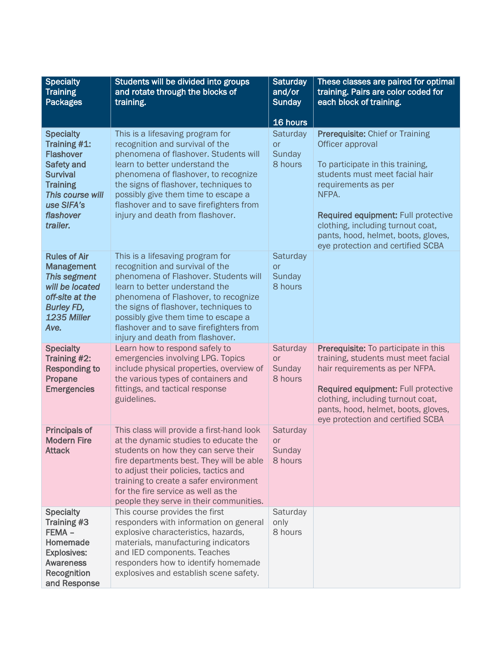| <b>Specialty</b><br><b>Training</b><br><b>Packages</b>                                                                                                                     | Students will be divided into groups<br>and rotate through the blocks of<br>training.                                                                                                                                                                                                                                                                 | <b>Saturday</b><br>and/or<br><b>Sunday</b> | These classes are paired for optimal<br>training. Pairs are color coded for<br>each block of training.                                                                                                                                                                                                                   |
|----------------------------------------------------------------------------------------------------------------------------------------------------------------------------|-------------------------------------------------------------------------------------------------------------------------------------------------------------------------------------------------------------------------------------------------------------------------------------------------------------------------------------------------------|--------------------------------------------|--------------------------------------------------------------------------------------------------------------------------------------------------------------------------------------------------------------------------------------------------------------------------------------------------------------------------|
|                                                                                                                                                                            |                                                                                                                                                                                                                                                                                                                                                       | 16 hours                                   |                                                                                                                                                                                                                                                                                                                          |
| <b>Specialty</b><br>Training #1:<br><b>Flashover</b><br><b>Safety and</b><br><b>Survival</b><br><b>Training</b><br>This course will<br>use SIFA's<br>flashover<br>trailer. | This is a lifesaving program for<br>recognition and survival of the<br>phenomena of flashover. Students will<br>learn to better understand the<br>phenomena of flashover, to recognize<br>the signs of flashover, techniques to<br>possibly give them time to escape a<br>flashover and to save firefighters from<br>injury and death from flashover. | Saturday<br>or<br>Sunday<br>8 hours        | Prerequisite: Chief or Training<br>Officer approval<br>To participate in this training,<br>students must meet facial hair<br>requirements as per<br>NFPA.<br><b>Required equipment: Full protective</b><br>clothing, including turnout coat,<br>pants, hood, helmet, boots, gloves,<br>eye protection and certified SCBA |
| <b>Rules of Air</b><br><b>Management</b><br><b>This segment</b><br>will be located<br>off-site at the<br><b>Burley FD,</b><br>1235 Miller<br>Ave.                          | This is a lifesaving program for<br>recognition and survival of the<br>phenomena of Flashover. Students will<br>learn to better understand the<br>phenomena of Flashover, to recognize<br>the signs of flashover, techniques to<br>possibly give them time to escape a<br>flashover and to save firefighters from<br>injury and death from flashover. | Saturday<br>or<br>Sunday<br>8 hours        |                                                                                                                                                                                                                                                                                                                          |
| <b>Specialty</b><br>Training #2:<br><b>Responding to</b><br>Propane<br><b>Emergencies</b>                                                                                  | Learn how to respond safely to<br>emergencies involving LPG. Topics<br>include physical properties, overview of<br>the various types of containers and<br>fittings, and tactical response<br>guidelines.                                                                                                                                              | Saturday<br><b>or</b><br>Sunday<br>8 hours | Prerequisite: To participate in this<br>training, students must meet facial<br>hair requirements as per NFPA.<br>Required equipment: Full protective<br>clothing, including turnout coat,<br>pants, hood, helmet, boots, gloves,<br>eye protection and certified SCBA                                                    |
| <b>Principals of</b><br><b>Modern Fire</b><br><b>Attack</b>                                                                                                                | This class will provide a first-hand look<br>at the dynamic studies to educate the<br>students on how they can serve their<br>fire departments best. They will be able<br>to adjust their policies, tactics and<br>training to create a safer environment<br>for the fire service as well as the<br>people they serve in their communities.           | Saturday<br><b>or</b><br>Sunday<br>8 hours |                                                                                                                                                                                                                                                                                                                          |
| <b>Specialty</b><br>Training #3<br>FEMA-<br>Homemade<br><b>Explosives:</b><br><b>Awareness</b><br>Recognition<br>and Response                                              | This course provides the first<br>responders with information on general<br>explosive characteristics, hazards,<br>materials, manufacturing indicators<br>and IED components. Teaches<br>responders how to identify homemade<br>explosives and establish scene safety.                                                                                | Saturday<br>only<br>8 hours                |                                                                                                                                                                                                                                                                                                                          |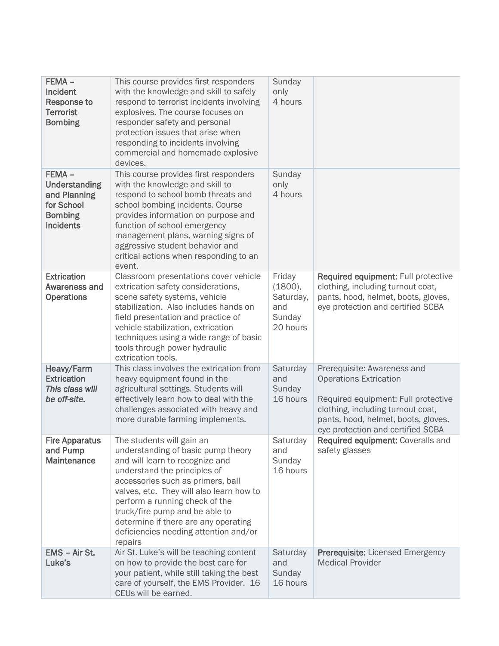| FEMA -<br>Incident<br><b>Response to</b><br><b>Terrorist</b><br><b>Bombing</b>                       | This course provides first responders<br>with the knowledge and skill to safely<br>respond to terrorist incidents involving<br>explosives. The course focuses on<br>responder safety and personal<br>protection issues that arise when<br>responding to incidents involving<br>commercial and homemade explosive<br>devices.                                                        | Sunday<br>only<br>4 hours                                   |                                                                                                                                                                                                                      |
|------------------------------------------------------------------------------------------------------|-------------------------------------------------------------------------------------------------------------------------------------------------------------------------------------------------------------------------------------------------------------------------------------------------------------------------------------------------------------------------------------|-------------------------------------------------------------|----------------------------------------------------------------------------------------------------------------------------------------------------------------------------------------------------------------------|
| $FEMA -$<br><b>Understanding</b><br>and Planning<br>for School<br><b>Bombing</b><br><b>Incidents</b> | This course provides first responders<br>with the knowledge and skill to<br>respond to school bomb threats and<br>school bombing incidents. Course<br>provides information on purpose and<br>function of school emergency<br>management plans, warning signs of<br>aggressive student behavior and<br>critical actions when responding to an<br>event.                              | Sunday<br>only<br>4 hours                                   |                                                                                                                                                                                                                      |
| <b>Extrication</b><br>Awareness and<br><b>Operations</b>                                             | Classroom presentations cover vehicle<br>extrication safety considerations,<br>scene safety systems, vehicle<br>stabilization. Also includes hands on<br>field presentation and practice of<br>vehicle stabilization, extrication<br>techniques using a wide range of basic<br>tools through power hydraulic<br>extrication tools.                                                  | Friday<br>(1800),<br>Saturday,<br>and<br>Sunday<br>20 hours | Required equipment: Full protective<br>clothing, including turnout coat,<br>pants, hood, helmet, boots, gloves,<br>eye protection and certified SCBA                                                                 |
| Heavy/Farm<br><b>Extrication</b><br>This class will<br>be off-site.                                  | This class involves the extrication from<br>heavy equipment found in the<br>agricultural settings. Students will<br>effectively learn how to deal with the<br>challenges associated with heavy and<br>more durable farming implements.                                                                                                                                              | Saturday<br>and<br>Sunday<br>16 hours                       | Prerequisite: Awareness and<br><b>Operations Extrication</b><br>Required equipment: Full protective<br>clothing, including turnout coat,<br>pants, hood, helmet, boots, gloves,<br>eye protection and certified SCBA |
| <b>Fire Apparatus</b><br>and Pump<br><b>Maintenance</b>                                              | The students will gain an<br>understanding of basic pump theory<br>and will learn to recognize and<br>understand the principles of<br>accessories such as primers, ball<br>valves, etc. They will also learn how to<br>perform a running check of the<br>truck/fire pump and be able to<br>determine if there are any operating<br>deficiencies needing attention and/or<br>repairs | Saturday<br>and<br>Sunday<br>16 hours                       | Required equipment: Coveralls and<br>safety glasses                                                                                                                                                                  |
| EMS - Air St.<br>Luke's                                                                              | Air St. Luke's will be teaching content<br>on how to provide the best care for<br>your patient, while still taking the best<br>care of yourself, the EMS Provider. 16<br>CEUs will be earned.                                                                                                                                                                                       | Saturday<br>and<br>Sunday<br>16 hours                       | <b>Prerequisite: Licensed Emergency</b><br><b>Medical Provider</b>                                                                                                                                                   |